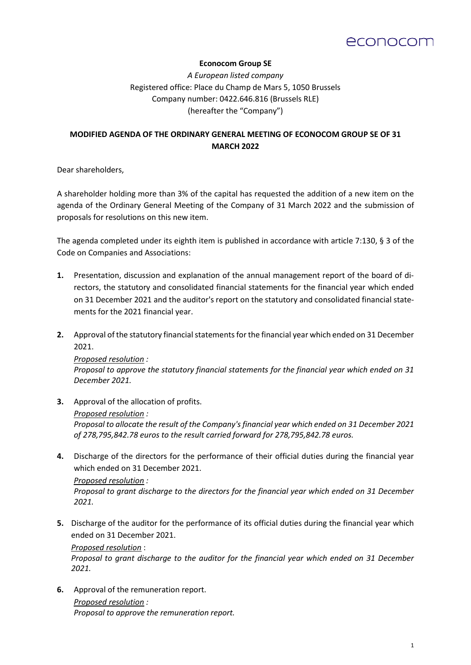# econocom

### **Econocom Group SE**

*A European listed company*  Registered office: Place du Champ de Mars 5, 1050 Brussels Company number: 0422.646.816 (Brussels RLE) (hereafter the "Company")

## **MODIFIED AGENDA OF THE ORDINARY GENERAL MEETING OF ECONOCOM GROUP SE OF 31 MARCH 2022**

Dear shareholders,

A shareholder holding more than 3% of the capital has requested the addition of a new item on the agenda of the Ordinary General Meeting of the Company of 31 March 2022 and the submission of proposals for resolutions on this new item.

The agenda completed under its eighth item is published in accordance with article 7:130, § 3 of the Code on Companies and Associations:

- **1.** Presentation, discussion and explanation of the annual management report of the board of directors, the statutory and consolidated financial statements for the financial year which ended on 31 December 2021 and the auditor's report on the statutory and consolidated financial statements for the 2021 financial year.
- **2.** Approval of the statutory financial statements for the financial year which ended on 31 December 2021.

*Proposed resolution : Proposal to approve the statutory financial statements for the financial year which ended on 31 December 2021.*

**3.** Approval of the allocation of profits.

#### *Proposed resolution :*

*Proposal to allocate the result of the Company's financial year which ended on 31 December 2021 of 278,795,842.78 euros to the result carried forward for 278,795,842.78 euros.*

- **4.** Discharge of the directors for the performance of their official duties during the financial year which ended on 31 December 2021. *Proposed resolution : Proposal to grant discharge to the directors for the financial year which ended on 31 December 2021.*
- **5.** Discharge of the auditor for the performance of its official duties during the financial year which ended on 31 December 2021.

*Proposed resolution* :

*Proposal to grant discharge to the auditor for the financial year which ended on 31 December 2021.*

**6.** Approval of the remuneration report. *Proposed resolution : Proposal to approve the remuneration report.*